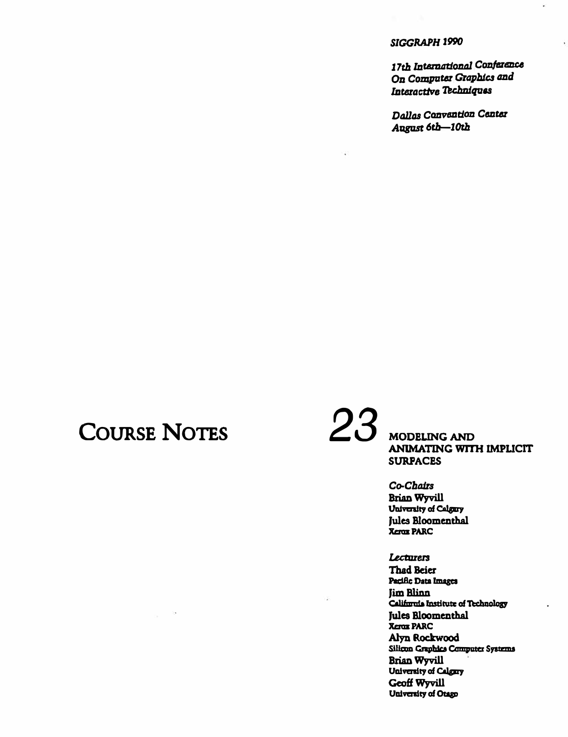17th International Conference On Computer Graphics and Interactive Techniques

Dallas Canvantion Canter August 6th-10th

# **COURSE NOTES**

23

**MODELING AND ANIMATING WITH IMPLICIT SURPACES** 

Co-Chairs **Brian Wyvill** University of Calgary Jules Bloomenthal **Xerox PARC** 

Lecturers

**Thad Beier** Pacific Data Images **Jim Blinn** California Institute of Technology **Jules Bloomenthal Xerox PARC** Alyn Rockwood Silicon Craphics Computer Systems **Brian Wyvill** University of Calgary Geoff Wyvill University of Otago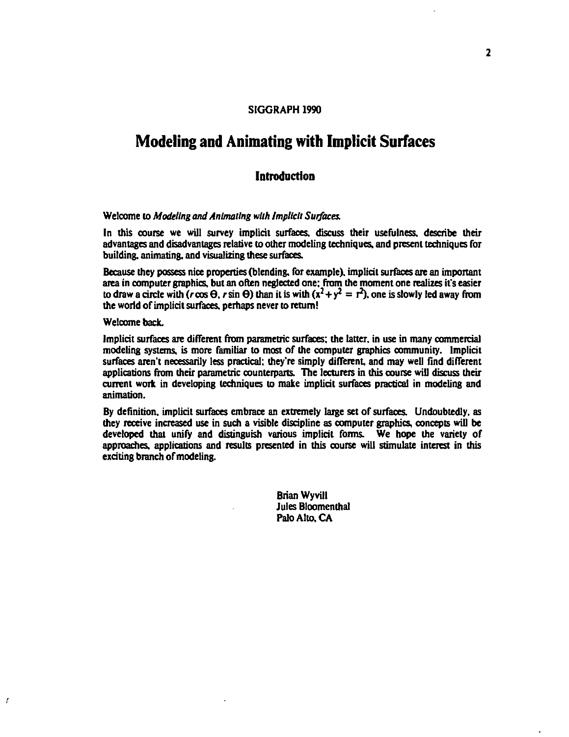## **Modeling and Animating with Implicit Surfaces**

### **Introduction**

#### Welcome 10 *Modeling and Animating wllh lmplicll Sutfaces.*

In this course we will survey implicit surfaces. discuss their usefulness. describe their advantages and disadvantages relative 10 other modeling lechniques. and present lechniques for building, animating, and visualizing these surfaces.

Because they possess nice properties (blending, for example). implicit surfaces are an important area in computer graphics, but an often neglected one: from the moment one realizes it's easier to draw a circle with ( $r \cos \theta$ ,  $r \sin \theta$ ) than it is with  $(x^2 + y^2 = r^2)$ , one is slowly led away from the world of implicit surfaces, perhaps never to return!

Welcome back.

f

Implicit surfaces are different from parametric surfaces: the latter. in use in many commercial modeling systems, is more familiar 10 most of the computer graphics community. Implicit surfaces aren't necessarily less practical; they're simply different, and may well find different applications from their parametric counterparts. The lecturers in this course will discuss their current work in developing techniques to make implicit surfaces practical in modeling and animation.

By definition. implicit surfaces embrace an extremely large set of surfaces. Undoubtedly, as they receive increased use in such a visible discipline as computer graphics, concepts will be developed that unify and distinguish various implicit forms. We hope the variety or approaches. applications and results presented in this course wiU stimulate interest in this exciting branch of modeling.

> Brian Wyvill **Jules Bloomenthal** Palo Alto. CA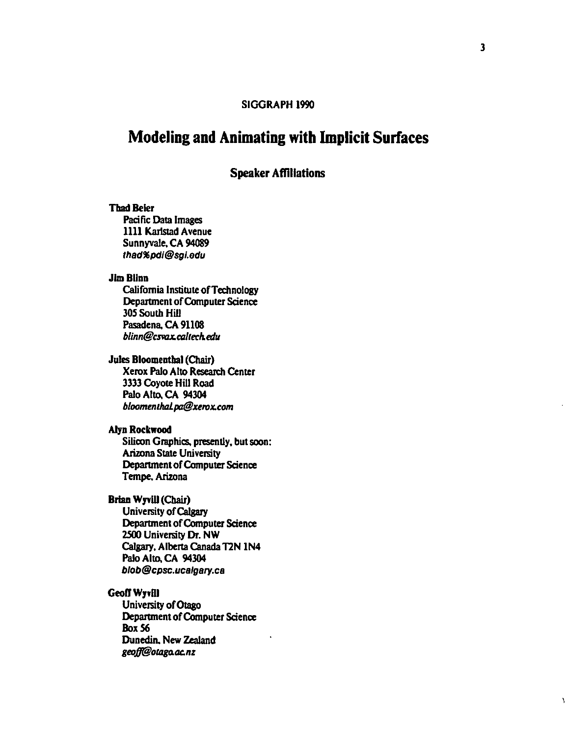# **Modeling and Animating with Implicit Surfaces**

## Speaker Affiliations

#### Tbad Beier

Pacific Data Images 1111 Karlstad Avenue Sunnyvale, CA 94089 thad96pdl@sgl.adu

#### Jim Blinn

California Institute ofTechnology Department of Computer Science 305 South Hill Pasadena, CA 91108 *blinn@csvax.allterh.edu* 

## Jules Bloomenthal (Chair)

Xerox Palo Alto Research Center 3333 Coyote Hill Road Palo Alto. CA 94304 *bloomentluzl.pa@urox.com* 

#### Alyn Rockwood

Silicon Graphics, presently, but soon: **Arizona State University** Depanment of Computer Science Tempe. Arizona

### Brian Wyvill (Chair)

University of Calgary Depanment of Computer Science 2500 University Dr. NW Calgary, Alberta Canada TIN 1N4 Palo Alto, CA 94304 blob@cpsc.ucalgary.ca

#### Geoff Wyvill

University of Otago Department of Computer Science **Box 56** Dunedin. New Zealand *geofJ@olllgO.OLnz* 

١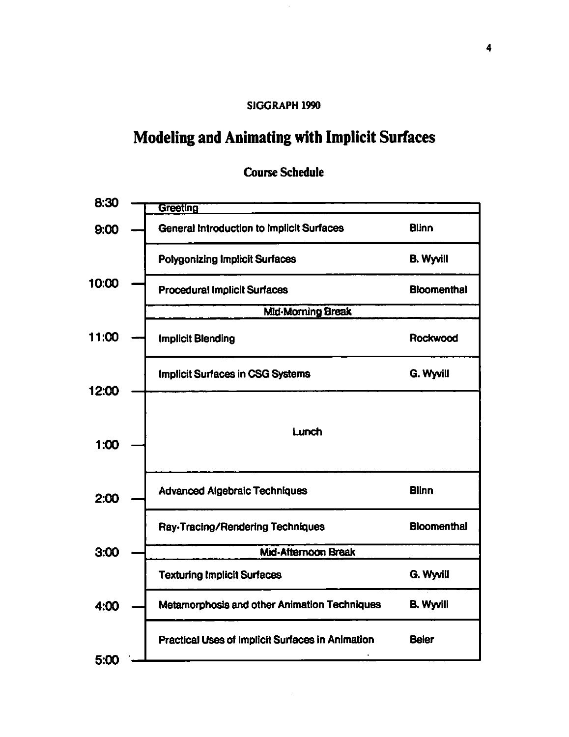# Modeling and Animating with Implicit Surfaces

| 8:30  | <b>Greeting</b>                                  |                    |
|-------|--------------------------------------------------|--------------------|
| 9:00  | <b>General Introduction to Implicit Surfaces</b> | <b>Blinn</b>       |
|       | <b>Polygonizing Implicit Surfaces</b>            | <b>B. Wyvill</b>   |
| 10:00 | <b>Procedural Implicit Surfaces</b>              | <b>Bloomenthal</b> |
|       | <b>Mid-Morning Break</b>                         |                    |
| 11:00 | <b>Implicit Blending</b>                         | Rockwood           |
| 12:00 | <b>Implicit Surfaces in CSG Systems</b>          | G. Wyvill          |
|       |                                                  |                    |
| 1:00  | Lunch                                            |                    |
| 2:00  | <b>Advanced Algebraic Techniques</b>             | <b>Blinn</b>       |
|       | Ray-Tracing/Rendering Techniques                 | <b>Bloomenthal</b> |
| 3:00  | Mid-Afternoon Break                              |                    |
|       | <b>Texturing Implicit Surfaces</b>               | G. Wyvill          |
| 4:00  | Metamorphosis and other Animation Techniques     | <b>B. Wyvill</b>   |
| 5:00  | Practical Uses of Implicit Surfaces in Animation | <b>Beier</b>       |
|       |                                                  |                    |

# Course Schedule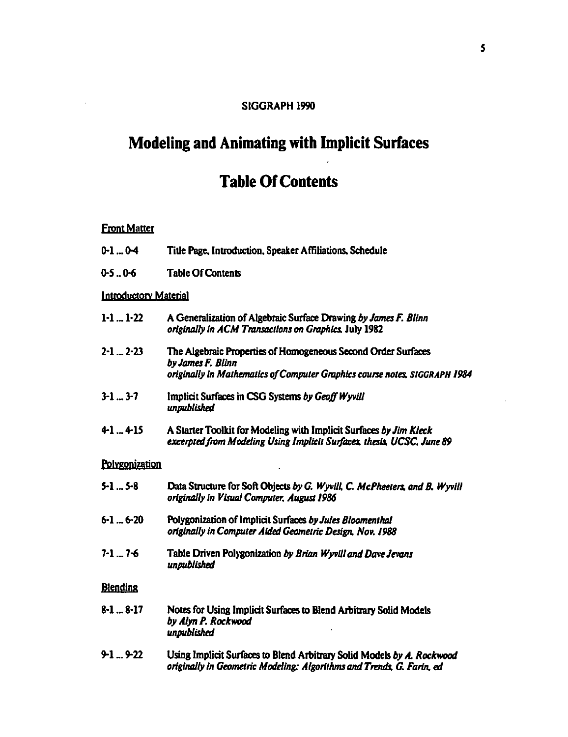## **Modeling and Animating with Implicit Surfaces**

# **Table Of Contents**

## **Front Matter**

- $0-1...0-4$ Title Page, Introduction, Speaker Affiliations, Schedule
- $0 5 0 6$ **Table Of Contents**

#### **Introductory Material**

- $1-1$  ...  $1-22$ A Generalization of Algebraic Surface Drawing by James F. Blinn originally in ACM Transactions on Graphics, July 1982
- $2 1$  ...  $2 23$ The Algebraic Properties of Homogeneous Second Order Surfaces by James F. Blinn originally in Mathematics of Computer Graphics course notes, SIGGRAPH 1984
- $3-1$  ...  $3-7$ Implicit Surfaces in CSG Systems by Geoff Wyvill unpublished
- $41...415$ A Starter Toolkit for Modeling with Implicit Surfaces by Jim Kleck excerpted from Modeling Using Implicit Surfaces, thesis, UCSC, June 89

#### Polygonization

| 5-1  5-8  | Data Structure for Soft Objects by G. Wyvill, C. McPheeters, and B. Wyvill<br>originally in Visual Computer, August 1986 |  |
|-----------|--------------------------------------------------------------------------------------------------------------------------|--|
| 6-1  6-20 | Polygonization of Implicit Surfaces by Jules Bloomenthal<br>originally in Computer Aided Geometric Design, Nov. 1988     |  |
| 7-1  7-6  | Table Driven Polygonization by Brian Wyvill and Dave Jevans<br>unpublished                                               |  |
| Diandina  |                                                                                                                          |  |

#### **Blending**

- $8-1...8-17$ Notes for Using Implicit Surfaces to Blend Arbitrary Solid Models by Alyn P. Rockwood unpublished
- $9-1...9-22$ Using Implicit Surfaces to Blend Arbitrary Solid Models by A. Rockwood originally in Geometric Modeling: Algorithms and Trends, G. Farin, ed